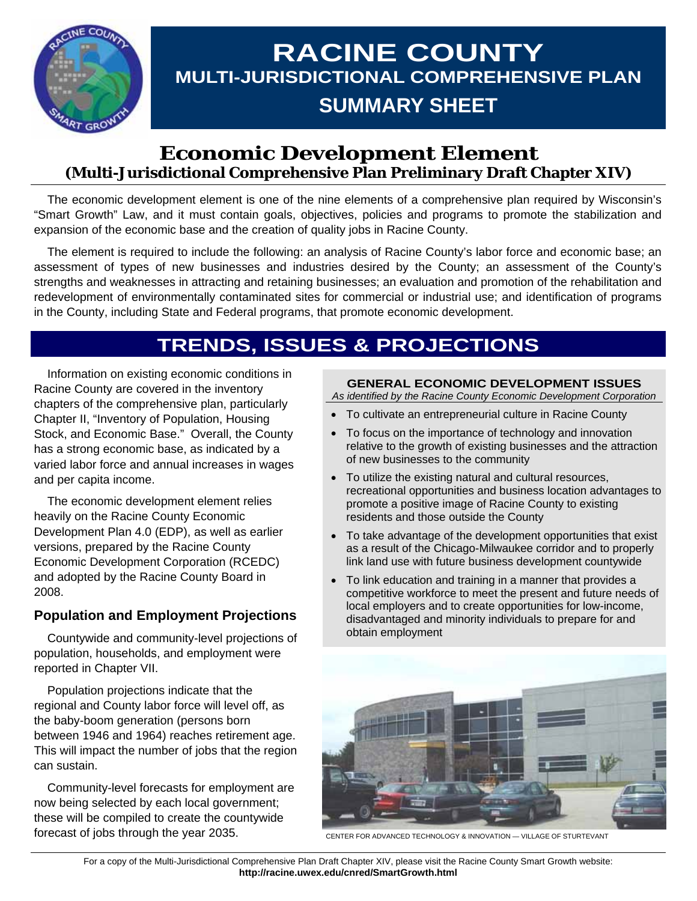

# **RACINE COUNTY MULTI-JURISDICTIONAL COMPREHENSIVE PLAN SUMMARY SHEET**

# **Economic Development Element (Multi-Jurisdictional Comprehensive Plan Preliminary Draft Chapter XIV)**

 The economic development element is one of the nine elements of a comprehensive plan required by Wisconsin's "Smart Growth" Law, and it must contain goals, objectives, policies and programs to promote the stabilization and expansion of the economic base and the creation of quality jobs in Racine County.

 The element is required to include the following: an analysis of Racine County's labor force and economic base; an assessment of types of new businesses and industries desired by the County; an assessment of the County's strengths and weaknesses in attracting and retaining businesses; an evaluation and promotion of the rehabilitation and redevelopment of environmentally contaminated sites for commercial or industrial use; and identification of programs in the County, including State and Federal programs, that promote economic development.

# **TRENDS, ISSUES & PROJECTIONS**

 Information on existing economic conditions in Racine County are covered in the inventory chapters of the comprehensive plan, particularly Chapter II, "Inventory of Population, Housing Stock, and Economic Base." Overall, the County has a strong economic base, as indicated by a varied labor force and annual increases in wages and per capita income.

 The economic development element relies heavily on the Racine County Economic Development Plan 4.0 (EDP), as well as earlier versions, prepared by the Racine County Economic Development Corporation (RCEDC) and adopted by the Racine County Board in 2008.

### **Population and Employment Projections**

 Countywide and community-level projections of population, households, and employment were reported in Chapter VII.

 Population projections indicate that the regional and County labor force will level off, as the baby-boom generation (persons born between 1946 and 1964) reaches retirement age. This will impact the number of jobs that the region can sustain.

 Community-level forecasts for employment are now being selected by each local government; these will be compiled to create the countywide forecast of jobs through the year 2035.

### **GENERAL ECONOMIC DEVELOPMENT ISSUES**

*As identified by the Racine County Economic Development Corporation* 

- To cultivate an entrepreneurial culture in Racine County
- To focus on the importance of technology and innovation relative to the growth of existing businesses and the attraction of new businesses to the community
- To utilize the existing natural and cultural resources, recreational opportunities and business location advantages to promote a positive image of Racine County to existing residents and those outside the County
- To take advantage of the development opportunities that exist as a result of the Chicago-Milwaukee corridor and to properly link land use with future business development countywide
- To link education and training in a manner that provides a competitive workforce to meet the present and future needs of local employers and to create opportunities for low-income, disadvantaged and minority individuals to prepare for and obtain employment



CENTER FOR ADVANCED TECHNOLOGY & INNOVATION — VILLAGE OF STURTEVANT

For a copy of the Multi-Jurisdictional Comprehensive Plan Draft Chapter XIV, please visit the Racine County Smart Growth website: **http://racine.uwex.edu/cnred/SmartGrowth.html**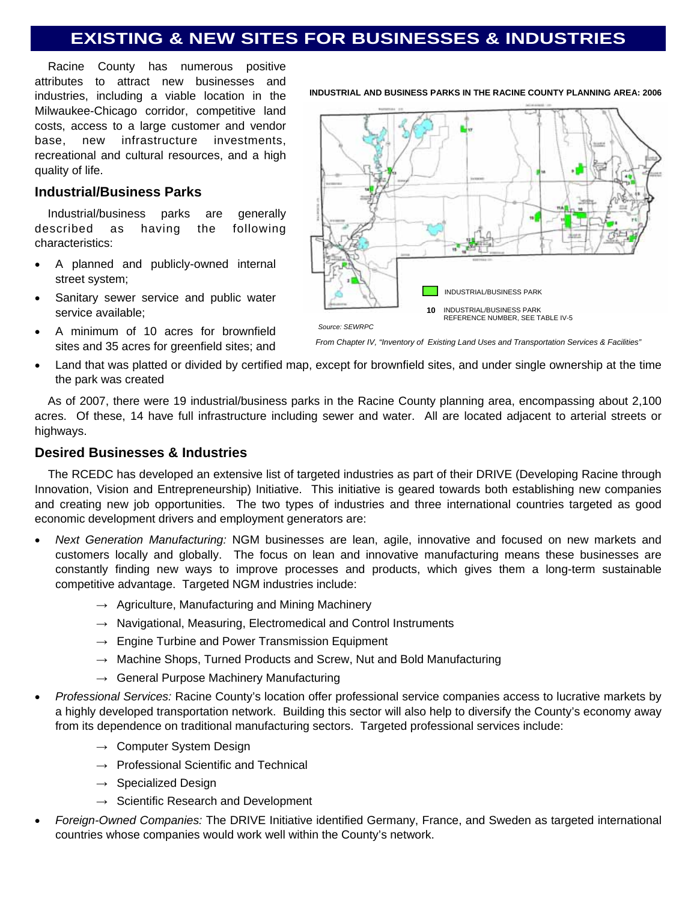# **EXISTING & NEW SITES FOR BUSINESSES & INDUSTRIES**

 Racine County has numerous positive attributes to attract new businesses and industries, including a viable location in the Milwaukee-Chicago corridor, competitive land costs, access to a large customer and vendor base, new infrastructure investments, recreational and cultural resources, and a high quality of life.

### **Industrial/Business Parks**

 Industrial/business parks are generally described as having the following characteristics:

- A planned and publicly-owned internal street system;
- Sanitary sewer service and public water service available;
- A minimum of 10 acres for brownfield sites and 35 acres for greenfield sites; and





*From Chapter IV, "Inventory of Existing Land Uses and Transportation Services & Facilities"* 

• Land that was platted or divided by certified map, except for brownfield sites, and under single ownership at the time the park was created

 As of 2007, there were 19 industrial/business parks in the Racine County planning area, encompassing about 2,100 acres. Of these, 14 have full infrastructure including sewer and water. All are located adjacent to arterial streets or highways.

### **Desired Businesses & Industries**

 The RCEDC has developed an extensive list of targeted industries as part of their DRIVE (Developing Racine through Innovation, Vision and Entrepreneurship) Initiative. This initiative is geared towards both establishing new companies and creating new job opportunities. The two types of industries and three international countries targeted as good economic development drivers and employment generators are:

- *Next Generation Manufacturing:* NGM businesses are lean, agile, innovative and focused on new markets and customers locally and globally. The focus on lean and innovative manufacturing means these businesses are constantly finding new ways to improve processes and products, which gives them a long-term sustainable competitive advantage. Targeted NGM industries include:
	- $\rightarrow$  Agriculture, Manufacturing and Mining Machinery
	- $\rightarrow$  Navigational, Measuring, Electromedical and Control Instruments
	- $\rightarrow$  Engine Turbine and Power Transmission Equipment
	- $\rightarrow$  Machine Shops, Turned Products and Screw, Nut and Bold Manufacturing
	- $\rightarrow$  General Purpose Machinery Manufacturing
- *Professional Services:* Racine County's location offer professional service companies access to lucrative markets by a highly developed transportation network. Building this sector will also help to diversify the County's economy away from its dependence on traditional manufacturing sectors. Targeted professional services include:
	- $\rightarrow$  Computer System Design
	- $\rightarrow$  Professional Scientific and Technical
	- $\rightarrow$  Specialized Design
	- $\rightarrow$  Scientific Research and Development
- *Foreign-Owned Companies:* The DRIVE Initiative identified Germany, France, and Sweden as targeted international countries whose companies would work well within the County's network.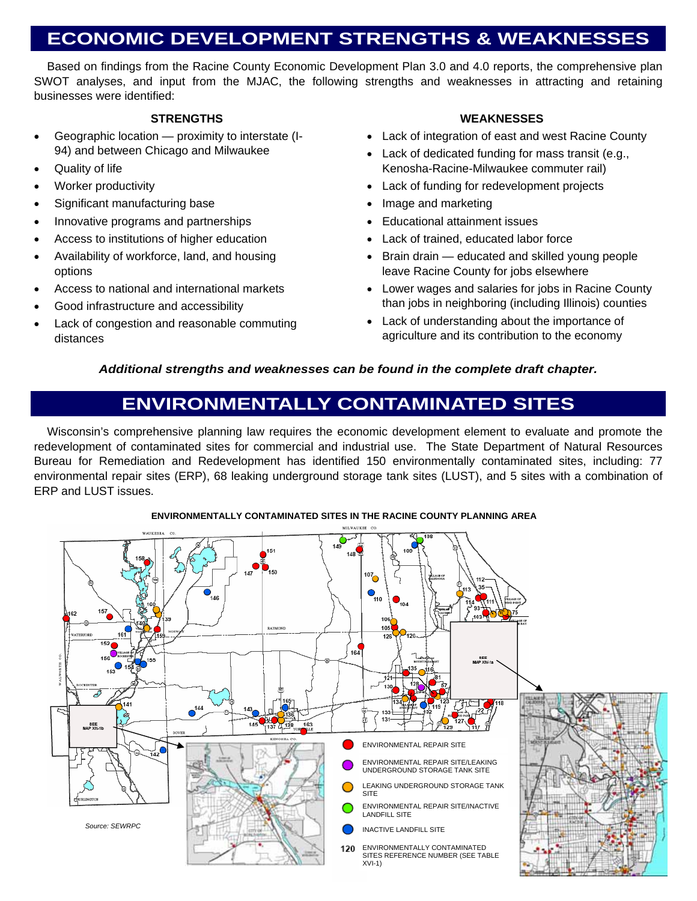# **ECONOMIC DEVELOPMENT STRENGTHS & WEAKNESSES**

 Based on findings from the Racine County Economic Development Plan 3.0 and 4.0 reports, the comprehensive plan SWOT analyses, and input from the MJAC, the following strengths and weaknesses in attracting and retaining businesses were identified:

#### **STRENGTHS**

- Geographic location proximity to interstate (I-94) and between Chicago and Milwaukee
- Quality of life
- Worker productivity
- Significant manufacturing base
- Innovative programs and partnerships
- Access to institutions of higher education
- Availability of workforce, land, and housing options
- Access to national and international markets
- Good infrastructure and accessibility
- Lack of congestion and reasonable commuting distances

### **WEAKNESSES**

- Lack of integration of east and west Racine County
- Lack of dedicated funding for mass transit (e.g., Kenosha-Racine-Milwaukee commuter rail)
- Lack of funding for redevelopment projects
- Image and marketing
- Educational attainment issues
- Lack of trained, educated labor force
- Brain drain educated and skilled young people leave Racine County for jobs elsewhere
- Lower wages and salaries for jobs in Racine County than jobs in neighboring (including Illinois) counties
- Lack of understanding about the importance of agriculture and its contribution to the economy

### *Additional strengths and weaknesses can be found in the complete draft chapter.*

# **ENVIRONMENTALLY CONTAMINATED SITES**

 Wisconsin's comprehensive planning law requires the economic development element to evaluate and promote the redevelopment of contaminated sites for commercial and industrial use. The State Department of Natural Resources Bureau for Remediation and Redevelopment has identified 150 environmentally contaminated sites, including: 77 environmental repair sites (ERP), 68 leaking underground storage tank sites (LUST), and 5 sites with a combination of ERP and LUST issues.



#### **ENVIRONMENTALLY CONTAMINATED SITES IN THE RACINE COUNTY PLANNING AREA**